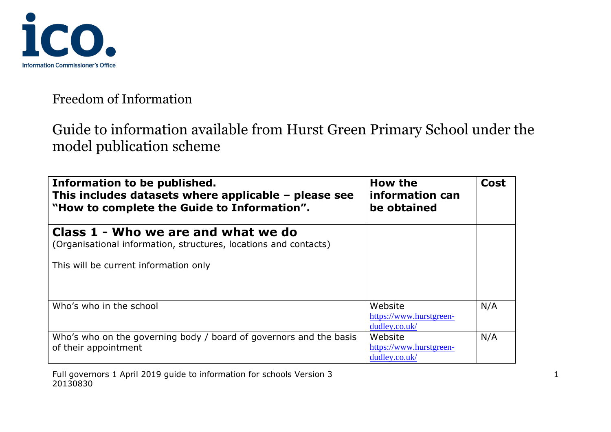

| Information to be published.<br>This includes datasets where applicable - please see<br>"How to complete the Guide to Information".              | How the<br>information can<br>be obtained           | <b>Cost</b> |
|--------------------------------------------------------------------------------------------------------------------------------------------------|-----------------------------------------------------|-------------|
| Class 1 - Who we are and what we do<br>(Organisational information, structures, locations and contacts)<br>This will be current information only |                                                     |             |
| Who's who in the school                                                                                                                          | Website<br>https://www.hurstgreen-<br>dudley.co.uk/ | N/A         |
| Who's who on the governing body / board of governors and the basis<br>of their appointment                                                       | Website<br>https://www.hurstgreen-<br>dudley.co.uk/ | N/A         |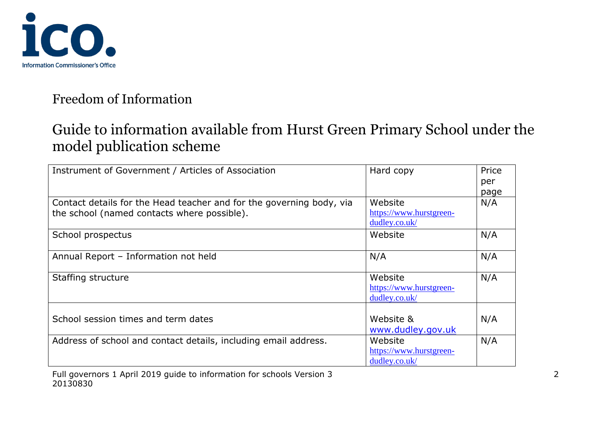

| Instrument of Government / Articles of Association                   | Hard copy               | Price |
|----------------------------------------------------------------------|-------------------------|-------|
|                                                                      |                         | per   |
|                                                                      |                         | page  |
| Contact details for the Head teacher and for the governing body, via | Website                 | N/A   |
| the school (named contacts where possible).                          | https://www.hurstgreen- |       |
|                                                                      | dudley.co.uk/           |       |
| School prospectus                                                    | Website                 | N/A   |
|                                                                      |                         |       |
| Annual Report - Information not held                                 | N/A                     | N/A   |
|                                                                      |                         |       |
| Staffing structure                                                   | Website                 | N/A   |
|                                                                      | https://www.hurstgreen- |       |
|                                                                      | dudley.co.uk/           |       |
|                                                                      |                         |       |
| School session times and term dates                                  | Website &               | N/A   |
|                                                                      | www.dudley.gov.uk       |       |
| Address of school and contact details, including email address.      | Website                 | N/A   |
|                                                                      | https://www.hurstgreen- |       |
|                                                                      | dudley.co.uk/           |       |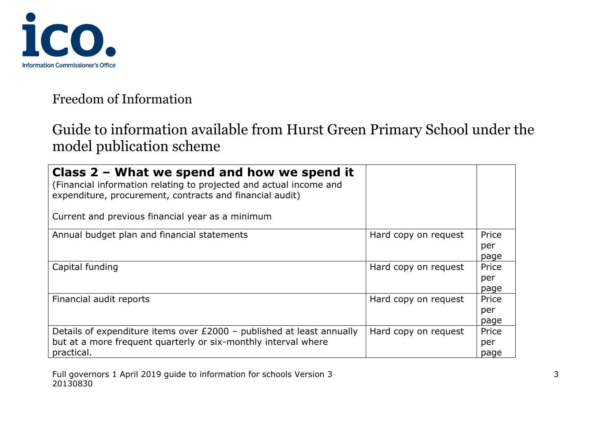

| Class $2$ – What we spend and how we spend it<br>(Financial information relating to projected and actual income and<br>expenditure, procurement, contracts and financial audit)<br>Current and previous financial year as a minimum |                      |       |
|-------------------------------------------------------------------------------------------------------------------------------------------------------------------------------------------------------------------------------------|----------------------|-------|
| Annual budget plan and financial statements                                                                                                                                                                                         | Hard copy on request | Price |
|                                                                                                                                                                                                                                     |                      | per   |
|                                                                                                                                                                                                                                     |                      | page  |
| Capital funding                                                                                                                                                                                                                     | Hard copy on request | Price |
|                                                                                                                                                                                                                                     |                      | per   |
|                                                                                                                                                                                                                                     |                      | page  |
| Financial audit reports                                                                                                                                                                                                             | Hard copy on request | Price |
|                                                                                                                                                                                                                                     |                      | per   |
|                                                                                                                                                                                                                                     |                      | page  |
| Details of expenditure items over £2000 - published at least annually                                                                                                                                                               | Hard copy on request | Price |
| but at a more frequent quarterly or six-monthly interval where                                                                                                                                                                      |                      | per   |
| practical.                                                                                                                                                                                                                          |                      | page  |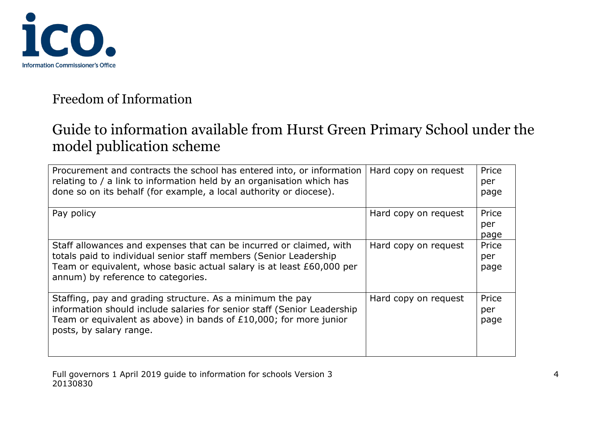

| Procurement and contracts the school has entered into, or information<br>relating to / a link to information held by an organisation which has<br>done so on its behalf (for example, a local authority or diocese).                                    | Hard copy on request | Price<br>per<br>page |
|---------------------------------------------------------------------------------------------------------------------------------------------------------------------------------------------------------------------------------------------------------|----------------------|----------------------|
| Pay policy                                                                                                                                                                                                                                              | Hard copy on request | Price<br>per<br>page |
| Staff allowances and expenses that can be incurred or claimed, with<br>totals paid to individual senior staff members (Senior Leadership<br>Team or equivalent, whose basic actual salary is at least £60,000 per<br>annum) by reference to categories. | Hard copy on request | Price<br>per<br>page |
| Staffing, pay and grading structure. As a minimum the pay<br>information should include salaries for senior staff (Senior Leadership<br>Team or equivalent as above) in bands of £10,000; for more junior<br>posts, by salary range.                    | Hard copy on request | Price<br>per<br>page |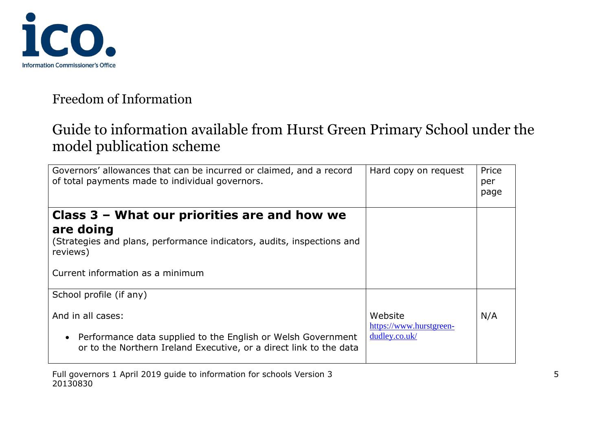

| Hard copy on request                                | Price<br>per<br>page |
|-----------------------------------------------------|----------------------|
|                                                     |                      |
|                                                     |                      |
|                                                     |                      |
|                                                     |                      |
| Website<br>https://www.hurstgreen-<br>dudley.co.uk/ | N/A                  |
|                                                     |                      |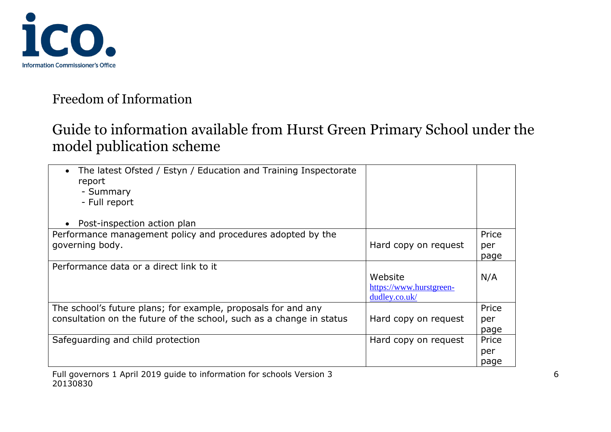

| The latest Ofsted / Estyn / Education and Training Inspectorate<br>report<br>- Summary<br>- Full report |                         |       |
|---------------------------------------------------------------------------------------------------------|-------------------------|-------|
| Post-inspection action plan                                                                             |                         |       |
| Performance management policy and procedures adopted by the                                             |                         | Price |
| governing body.                                                                                         | Hard copy on request    | per   |
|                                                                                                         |                         | page  |
| Performance data or a direct link to it                                                                 |                         |       |
|                                                                                                         | Website                 | N/A   |
|                                                                                                         | https://www.hurstgreen- |       |
|                                                                                                         | dudley.co.uk/           |       |
| The school's future plans; for example, proposals for and any                                           |                         | Price |
| consultation on the future of the school, such as a change in status                                    | Hard copy on request    | per   |
|                                                                                                         |                         | page  |
| Safeguarding and child protection                                                                       | Hard copy on request    | Price |
|                                                                                                         |                         | per   |
|                                                                                                         |                         | page  |
| .<br>.                                                                                                  |                         |       |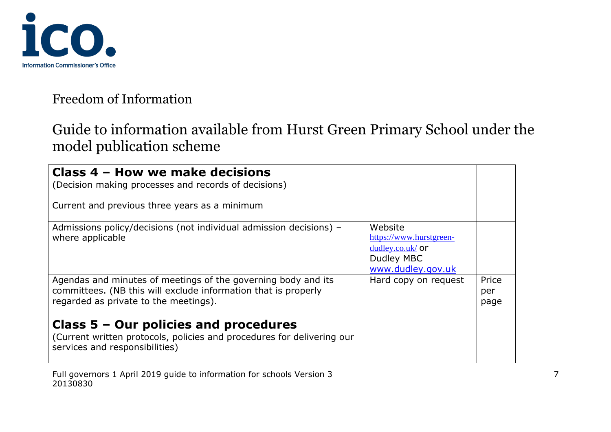

| Class 4 - How we make decisions<br>(Decision making processes and records of decisions)<br>Current and previous three years as a minimum                                 |                                                                                             |                      |
|--------------------------------------------------------------------------------------------------------------------------------------------------------------------------|---------------------------------------------------------------------------------------------|----------------------|
| Admissions policy/decisions (not individual admission decisions) -<br>where applicable                                                                                   | Website<br>https://www.hurstgreen-<br>$dudley.co.uk/$ or<br>Dudley MBC<br>www.dudley.gov.uk |                      |
| Agendas and minutes of meetings of the governing body and its<br>committees. (NB this will exclude information that is properly<br>regarded as private to the meetings). | Hard copy on request                                                                        | Price<br>per<br>page |
| Class $5 -$ Our policies and procedures<br>(Current written protocols, policies and procedures for delivering our<br>services and responsibilities)                      |                                                                                             |                      |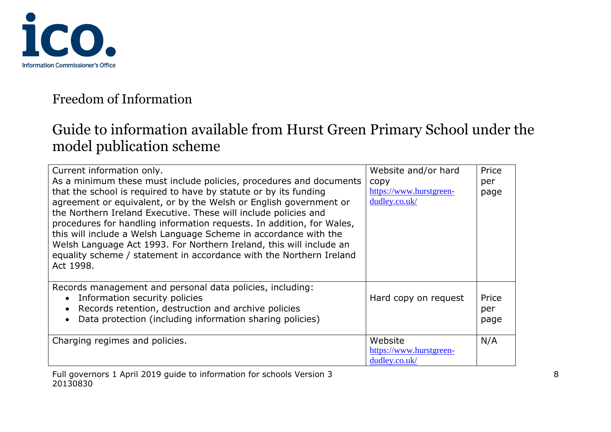

| Current information only.                                                                                                               | Website and/or hard                | Price |
|-----------------------------------------------------------------------------------------------------------------------------------------|------------------------------------|-------|
| As a minimum these must include policies, procedures and documents                                                                      | copy                               | per   |
| that the school is required to have by statute or by its funding                                                                        | https://www.hurstgreen-            | page  |
| agreement or equivalent, or by the Welsh or English government or                                                                       | dudley.co.uk/                      |       |
| the Northern Ireland Executive. These will include policies and                                                                         |                                    |       |
| procedures for handling information requests. In addition, for Wales,                                                                   |                                    |       |
| this will include a Welsh Language Scheme in accordance with the<br>Welsh Language Act 1993. For Northern Ireland, this will include an |                                    |       |
| equality scheme / statement in accordance with the Northern Ireland                                                                     |                                    |       |
| Act 1998.                                                                                                                               |                                    |       |
|                                                                                                                                         |                                    |       |
| Records management and personal data policies, including:                                                                               |                                    |       |
| Information security policies                                                                                                           | Hard copy on request               | Price |
| Records retention, destruction and archive policies                                                                                     |                                    | per   |
| Data protection (including information sharing policies)                                                                                |                                    | page  |
|                                                                                                                                         |                                    |       |
| Charging regimes and policies.                                                                                                          | Website<br>https://www.hurstgreen- | N/A   |
|                                                                                                                                         | dudley.co.uk/                      |       |
|                                                                                                                                         |                                    |       |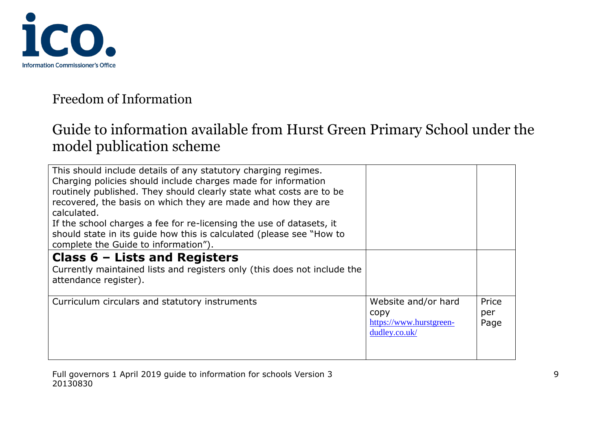

| This should include details of any statutory charging regimes.<br>Charging policies should include charges made for information<br>routinely published. They should clearly state what costs are to be<br>recovered, the basis on which they are made and how they are<br>calculated.<br>If the school charges a fee for re-licensing the use of datasets, it<br>should state in its guide how this is calculated (please see "How to<br>complete the Guide to information"). |                                                                         |                      |
|-------------------------------------------------------------------------------------------------------------------------------------------------------------------------------------------------------------------------------------------------------------------------------------------------------------------------------------------------------------------------------------------------------------------------------------------------------------------------------|-------------------------------------------------------------------------|----------------------|
| Class $6$ – Lists and Registers<br>Currently maintained lists and registers only (this does not include the<br>attendance register).                                                                                                                                                                                                                                                                                                                                          |                                                                         |                      |
| Curriculum circulars and statutory instruments                                                                                                                                                                                                                                                                                                                                                                                                                                | Website and/or hard<br>copy<br>https://www.hurstgreen-<br>dudley.co.uk/ | Price<br>per<br>Page |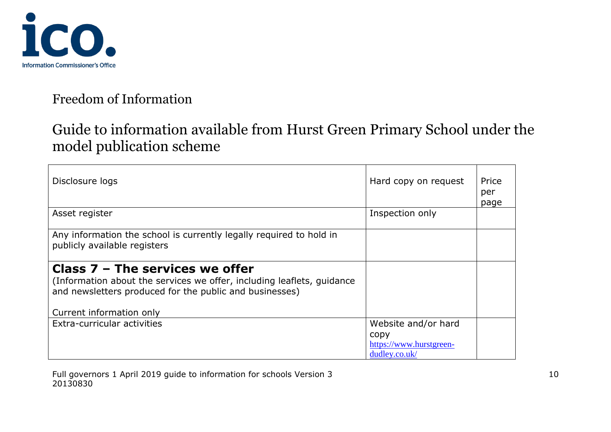

| Disclosure logs                                                                                                                                                                                    | Hard copy on request                                                    | Price<br>per<br>page |
|----------------------------------------------------------------------------------------------------------------------------------------------------------------------------------------------------|-------------------------------------------------------------------------|----------------------|
| Asset register                                                                                                                                                                                     | Inspection only                                                         |                      |
| Any information the school is currently legally required to hold in<br>publicly available registers                                                                                                |                                                                         |                      |
| Class $7$ – The services we offer<br>(Information about the services we offer, including leaflets, guidance<br>and newsletters produced for the public and businesses)<br>Current information only |                                                                         |                      |
| Extra-curricular activities                                                                                                                                                                        | Website and/or hard<br>copy<br>https://www.hurstgreen-<br>dudley.co.uk/ |                      |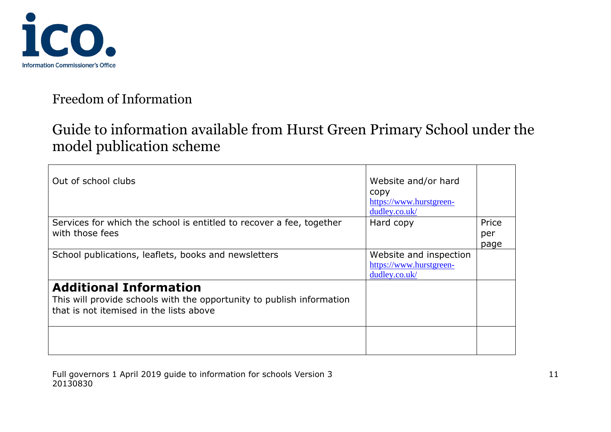

| Out of school clubs                                                                                                                               | Website and/or hard<br>copy<br>https://www.hurstgreen-<br>dudley.co.uk/ |                      |
|---------------------------------------------------------------------------------------------------------------------------------------------------|-------------------------------------------------------------------------|----------------------|
| Services for which the school is entitled to recover a fee, together<br>with those fees                                                           | Hard copy                                                               | Price<br>per<br>page |
| School publications, leaflets, books and newsletters                                                                                              | Website and inspection<br>https://www.hurstgreen-<br>dudley.co.uk/      |                      |
| <b>Additional Information</b><br>This will provide schools with the opportunity to publish information<br>that is not itemised in the lists above |                                                                         |                      |
|                                                                                                                                                   |                                                                         |                      |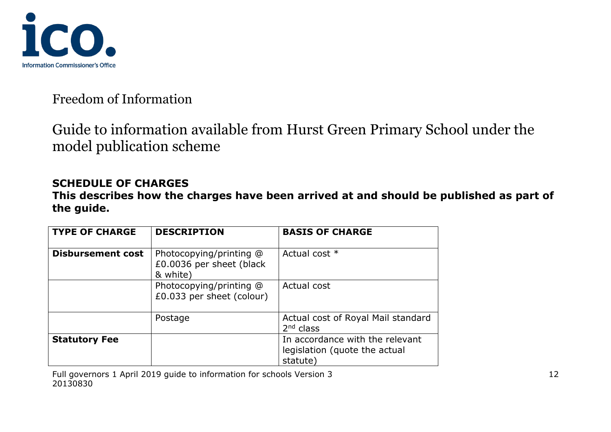

Guide to information available from Hurst Green Primary School under the model publication scheme

#### **SCHEDULE OF CHARGES**

**This describes how the charges have been arrived at and should be published as part of the guide.**

| <b>TYPE OF CHARGE</b>    | <b>DESCRIPTION</b>                                              | <b>BASIS OF CHARGE</b>                                                       |
|--------------------------|-----------------------------------------------------------------|------------------------------------------------------------------------------|
| <b>Disbursement cost</b> | Photocopying/printing @<br>£0.0036 per sheet (black<br>& white) | Actual cost *                                                                |
|                          | Photocopying/printing @<br>£0.033 per sheet (colour)            | Actual cost                                                                  |
|                          | Postage                                                         | Actual cost of Royal Mail standard<br>$2nd$ class                            |
| <b>Statutory Fee</b>     |                                                                 | In accordance with the relevant<br>legislation (quote the actual<br>statute) |